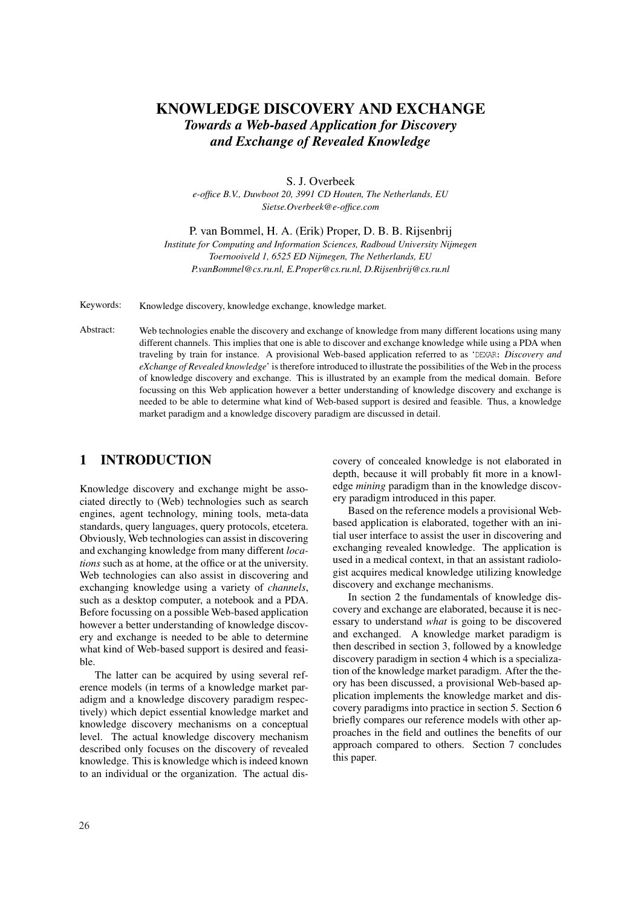# KNOWLEDGE DISCOVERY AND EXCHANGE *Towards a Web-based Application for Discovery and Exchange of Revealed Knowledge*

S. J. Overbeek *e-office B.V., Duwboot 20, 3991 CD Houten, The Netherlands, EU Sietse.Overbeek@e-office.com*

P. van Bommel, H. A. (Erik) Proper, D. B. B. Rijsenbrij

*Institute for Computing and Information Sciences, Radboud University Nijmegen Toernooiveld 1, 6525 ED Nijmegen, The Netherlands, EU P.vanBommel@cs.ru.nl, E.Proper@cs.ru.nl, D.Rijsenbrij@cs.ru.nl*

Keywords: Knowledge discovery, knowledge exchange, knowledge market.

Abstract: Web technologies enable the discovery and exchange of knowledge from many different locations using many different channels. This implies that one is able to discover and exchange knowledge while using a PDA when traveling by train for instance. A provisional Web-based application referred to as 'DEXAR: *Discovery and eXchange of Revealed knowledge*' is therefore introduced to illustrate the possibilities of the Web in the process of knowledge discovery and exchange. This is illustrated by an example from the medical domain. Before focussing on this Web application however a better understanding of knowledge discovery and exchange is needed to be able to determine what kind of Web-based support is desired and feasible. Thus, a knowledge market paradigm and a knowledge discovery paradigm are discussed in detail.

### 1 INTRODUCTION

Knowledge discovery and exchange might be associated directly to (Web) technologies such as search engines, agent technology, mining tools, meta-data standards, query languages, query protocols, etcetera. Obviously, Web technologies can assist in discovering and exchanging knowledge from many different *locations* such as at home, at the office or at the university. Web technologies can also assist in discovering and exchanging knowledge using a variety of *channels*, such as a desktop computer, a notebook and a PDA. Before focussing on a possible Web-based application however a better understanding of knowledge discovery and exchange is needed to be able to determine what kind of Web-based support is desired and feasible.

The latter can be acquired by using several reference models (in terms of a knowledge market paradigm and a knowledge discovery paradigm respectively) which depict essential knowledge market and knowledge discovery mechanisms on a conceptual level. The actual knowledge discovery mechanism described only focuses on the discovery of revealed knowledge. This is knowledge which is indeed known to an individual or the organization. The actual discovery of concealed knowledge is not elaborated in depth, because it will probably fit more in a knowledge *mining* paradigm than in the knowledge discovery paradigm introduced in this paper.

Based on the reference models a provisional Webbased application is elaborated, together with an initial user interface to assist the user in discovering and exchanging revealed knowledge. The application is used in a medical context, in that an assistant radiologist acquires medical knowledge utilizing knowledge discovery and exchange mechanisms.

In section 2 the fundamentals of knowledge discovery and exchange are elaborated, because it is necessary to understand *what* is going to be discovered and exchanged. A knowledge market paradigm is then described in section 3, followed by a knowledge discovery paradigm in section 4 which is a specialization of the knowledge market paradigm. After the theory has been discussed, a provisional Web-based application implements the knowledge market and discovery paradigms into practice in section 5. Section 6 briefly compares our reference models with other approaches in the field and outlines the benefits of our approach compared to others. Section 7 concludes this paper.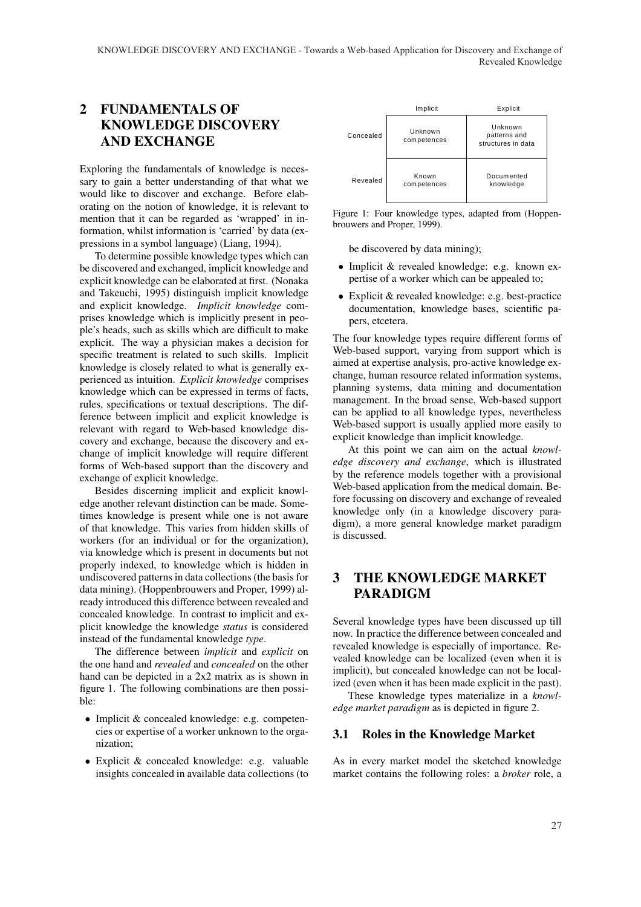# 2 FUNDAMENTALS OF KNOWLEDGE DISCOVERY AND EXCHANGE

Exploring the fundamentals of knowledge is necessary to gain a better understanding of that what we would like to discover and exchange. Before elaborating on the notion of knowledge, it is relevant to mention that it can be regarded as 'wrapped' in information, whilst information is 'carried' by data (expressions in a symbol language) (Liang, 1994).

To determine possible knowledge types which can be discovered and exchanged, implicit knowledge and explicit knowledge can be elaborated at first. (Nonaka and Takeuchi, 1995) distinguish implicit knowledge and explicit knowledge. *Implicit knowledge* comprises knowledge which is implicitly present in people's heads, such as skills which are difficult to make explicit. The way a physician makes a decision for specific treatment is related to such skills. Implicit knowledge is closely related to what is generally experienced as intuition. *Explicit knowledge* comprises knowledge which can be expressed in terms of facts, rules, specifications or textual descriptions. The difference between implicit and explicit knowledge is relevant with regard to Web-based knowledge discovery and exchange, because the discovery and exchange of implicit knowledge will require different forms of Web-based support than the discovery and exchange of explicit knowledge.

Besides discerning implicit and explicit knowledge another relevant distinction can be made. Sometimes knowledge is present while one is not aware of that knowledge. This varies from hidden skills of workers (for an individual or for the organization), via knowledge which is present in documents but not properly indexed, to knowledge which is hidden in undiscovered patterns in data collections (the basis for data mining). (Hoppenbrouwers and Proper, 1999) already introduced this difference between revealed and concealed knowledge. In contrast to implicit and explicit knowledge the knowledge *status* is considered instead of the fundamental knowledge *type*.

The difference between *implicit* and *explicit* on the one hand and *revealed* and *concealed* on the other hand can be depicted in a 2x2 matrix as is shown in figure 1. The following combinations are then possible:

- Implicit & concealed knowledge: e.g. competencies or expertise of a worker unknown to the organization;
- Explicit & concealed knowledge: e.g. valuable insights concealed in available data collections (to



Figure 1: Four knowledge types, adapted from (Hoppenbrouwers and Proper, 1999).

be discovered by data mining);

- Implicit & revealed knowledge: e.g. known expertise of a worker which can be appealed to;
- Explicit & revealed knowledge: e.g. best-practice documentation, knowledge bases, scientific papers, etcetera.

The four knowledge types require different forms of Web-based support, varying from support which is aimed at expertise analysis, pro-active knowledge exchange, human resource related information systems, planning systems, data mining and documentation management. In the broad sense, Web-based support can be applied to all knowledge types, nevertheless Web-based support is usually applied more easily to explicit knowledge than implicit knowledge.

At this point we can aim on the actual *knowledge discovery and exchange*, which is illustrated by the reference models together with a provisional Web-based application from the medical domain. Before focussing on discovery and exchange of revealed knowledge only (in a knowledge discovery paradigm), a more general knowledge market paradigm is discussed.

## 3 THE KNOWLEDGE MARKET PARADIGM

Several knowledge types have been discussed up till now. In practice the difference between concealed and revealed knowledge is especially of importance. Revealed knowledge can be localized (even when it is implicit), but concealed knowledge can not be localized (even when it has been made explicit in the past).

These knowledge types materialize in a *knowledge market paradigm* as is depicted in figure 2.

### 3.1 Roles in the Knowledge Market

As in every market model the sketched knowledge market contains the following roles: a *broker* role, a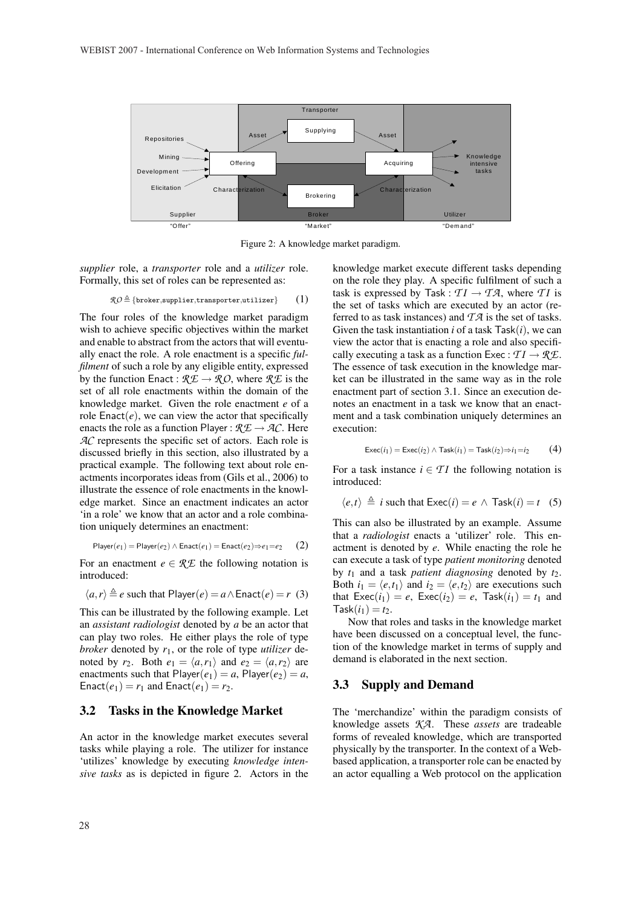

Figure 2: A knowledge market paradigm.

*supplier* role, a *transporter* role and a *utilizer* role. Formally, this set of roles can be represented as:

$$
\mathcal{RO} \triangleq \{\texttt{broken}, \texttt{supplier}, \texttt{transporter}, \texttt{utilizer}\} \qquad (1)
$$

The four roles of the knowledge market paradigm wish to achieve specific objectives within the market and enable to abstract from the actors that will eventually enact the role. A role enactment is a specific *fulfilment* of such a role by any eligible entity, expressed by the function Enact :  $\mathcal{R} \mathcal{L} \rightarrow \mathcal{R} \mathcal{O}$ , where  $\mathcal{R} \mathcal{L}$  is the set of all role enactments within the domain of the knowledge market. Given the role enactment *e* of a role  $\text{Enact}(e)$ , we can view the actor that specifically enacts the role as a function Player :  $\mathcal{R} \mathcal{L} \rightarrow \mathcal{A} \mathcal{C}$ . Here *AC* represents the specific set of actors. Each role is discussed briefly in this section, also illustrated by a practical example. The following text about role enactments incorporates ideas from (Gils et al., 2006) to illustrate the essence of role enactments in the knowledge market. Since an enactment indicates an actor 'in a role' we know that an actor and a role combination uniquely determines an enactment:

$$
\mathsf{Player}(e_1) = \mathsf{Player}(e_2) \land \mathsf{Enact}(e_1) = \mathsf{Enact}(e_2) \Rightarrow e_1 = e_2 \qquad (2)
$$

For an enactment  $e \in \mathcal{RE}$  the following notation is introduced:

$$
\langle a, r \rangle \triangleq e \text{ such that Player}(e) = a \land \text{Enact}(e) = r \text{ (3)}
$$

This can be illustrated by the following example. Let an *assistant radiologist* denoted by *a* be an actor that can play two roles. He either plays the role of type *broker* denoted by *r*1, or the role of type *utilizer* denoted by  $r_2$ . Both  $e_1 = \langle a, r_1 \rangle$  and  $e_2 = \langle a, r_2 \rangle$  are enactments such that  $Player(e_1) = a$ ,  $Player(e_2) = a$ , Enact( $e_1$ ) =  $r_1$  and Enact( $e_1$ ) =  $r_2$ .

#### 3.2 Tasks in the Knowledge Market

An actor in the knowledge market executes several tasks while playing a role. The utilizer for instance 'utilizes' knowledge by executing *knowledge intensive tasks* as is depicted in figure 2. Actors in the knowledge market execute different tasks depending on the role they play. A specific fulfilment of such a task is expressed by Task :  $TI \rightarrow TA$ , where *TI* is the set of tasks which are executed by an actor (referred to as task instances) and *T A* is the set of tasks. Given the task instantiation *i* of a task Task(*i*), we can view the actor that is enacting a role and also specifically executing a task as a function Exec :  $TI \rightarrow \mathcal{RE}$ . The essence of task execution in the knowledge market can be illustrated in the same way as in the role enactment part of section 3.1. Since an execution denotes an enactment in a task we know that an enactment and a task combination uniquely determines an execution:

$$
\mathsf{Exec}(i_1) = \mathsf{Exec}(i_2) \land \mathsf{Task}(i_1) = \mathsf{Task}(i_2) \Rightarrow i_1 = i_2 \tag{4}
$$

For a task instance  $i \in TI$  the following notation is introduced:

$$
\langle e, t \rangle \triangleq i
$$
 such that  $\text{Exec}(i) = e \land \text{Task}(i) = t$  (5)

This can also be illustrated by an example. Assume that a *radiologist* enacts a 'utilizer' role. This enactment is denoted by *e*. While enacting the role he can execute a task of type *patient monitoring* denoted by  $t_1$  and a task *patient diagnosing* denoted by  $t_2$ . Both  $i_1 = \langle e, t_1 \rangle$  and  $i_2 = \langle e, t_2 \rangle$  are executions such that  $\text{Exec}(i_1) = e$ ,  $\text{Exec}(i_2) = e$ ,  $\text{Task}(i_1) = i_1$  and  $Task(i_1) = t_2.$ 

Now that roles and tasks in the knowledge market have been discussed on a conceptual level, the function of the knowledge market in terms of supply and demand is elaborated in the next section.

#### 3.3 Supply and Demand

The 'merchandize' within the paradigm consists of knowledge assets *KA*. These *assets* are tradeable forms of revealed knowledge, which are transported physically by the transporter. In the context of a Webbased application, a transporter role can be enacted by an actor equalling a Web protocol on the application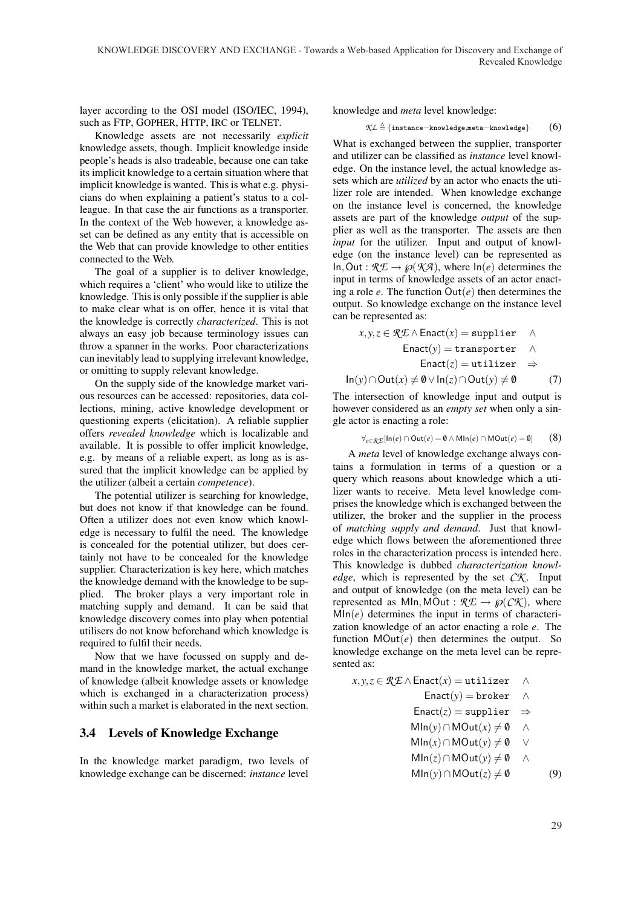layer according to the OSI model (ISO/IEC, 1994), such as FTP, GOPHER, HTTP, IRC or TELNET.

Knowledge assets are not necessarily *explicit* knowledge assets, though. Implicit knowledge inside people's heads is also tradeable, because one can take its implicit knowledge to a certain situation where that implicit knowledge is wanted. This is what e.g. physicians do when explaining a patient's status to a colleague. In that case the air functions as a transporter. In the context of the Web however, a knowledge asset can be defined as any entity that is accessible on the Web that can provide knowledge to other entities connected to the Web.

The goal of a supplier is to deliver knowledge, which requires a 'client' who would like to utilize the knowledge. This is only possible if the supplier is able to make clear what is on offer, hence it is vital that the knowledge is correctly *characterized*. This is not always an easy job because terminology issues can throw a spanner in the works. Poor characterizations can inevitably lead to supplying irrelevant knowledge, or omitting to supply relevant knowledge.

On the supply side of the knowledge market various resources can be accessed: repositories, data collections, mining, active knowledge development or questioning experts (elicitation). A reliable supplier offers *revealed knowledge* which is localizable and available. It is possible to offer implicit knowledge, e.g. by means of a reliable expert, as long as is assured that the implicit knowledge can be applied by the utilizer (albeit a certain *competence*).

The potential utilizer is searching for knowledge, but does not know if that knowledge can be found. Often a utilizer does not even know which knowledge is necessary to fulfil the need. The knowledge is concealed for the potential utilizer, but does certainly not have to be concealed for the knowledge supplier. Characterization is key here, which matches the knowledge demand with the knowledge to be supplied. The broker plays a very important role in matching supply and demand. It can be said that knowledge discovery comes into play when potential utilisers do not know beforehand which knowledge is required to fulfil their needs.

Now that we have focussed on supply and demand in the knowledge market, the actual exchange of knowledge (albeit knowledge assets or knowledge which is exchanged in a characterization process) within such a market is elaborated in the next section.

#### 3.4 Levels of Knowledge Exchange

In the knowledge market paradigm, two levels of knowledge exchange can be discerned: *instance* level

knowledge and *meta* level knowledge:

$$
\text{KL} \triangleq \{\text{instance} - \text{knowledge}, \text{meta} - \text{knowledge}\} \qquad (6)
$$

What is exchanged between the supplier, transporter and utilizer can be classified as *instance* level knowledge. On the instance level, the actual knowledge assets which are *utilized* by an actor who enacts the utilizer role are intended. When knowledge exchange on the instance level is concerned, the knowledge assets are part of the knowledge *output* of the supplier as well as the transporter. The assets are then *input* for the utilizer. Input and output of knowledge (on the instance level) can be represented as In, Out :  $\mathcal{RE} \to \wp(\mathcal{KA})$ , where  $\ln(e)$  determines the input in terms of knowledge assets of an actor enacting a role  $e$ . The function  $Out(e)$  then determines the output. So knowledge exchange on the instance level can be represented as:

$$
x, y, z \in \mathcal{RE} \land \text{Enact}(x) = \text{supplier} \quad \land
$$
  
Enact(y) = \text{transporter} \quad \land  
Enact(z) = \text{utilizer} \quad \Rightarrow  
ln(y) \cap Out(x) \neq 0 \lor ln(z) \cap Out(y) \neq 0 (7)

The intersection of knowledge input and output is however considered as an *empty set* when only a single actor is enacting a role:

$$
\forall_{e \in \mathcal{R} \mathcal{L}} [\ln(e) \cap \text{Out}(e) = \emptyset \land \text{Min}(e) \cap \text{MOut}(e) = \emptyset] \tag{8}
$$

A *meta* level of knowledge exchange always contains a formulation in terms of a question or a query which reasons about knowledge which a utilizer wants to receive. Meta level knowledge comprises the knowledge which is exchanged between the utilizer, the broker and the supplier in the process of *matching supply and demand*. Just that knowledge which flows between the aforementioned three roles in the characterization process is intended here. This knowledge is dubbed *characterization knowledge*, which is represented by the set  $\mathcal{C}\mathcal{K}$ . Input and output of knowledge (on the meta level) can be represented as MIn, MOut :  $\mathcal{R} \mathcal{L} \rightarrow \wp(\mathcal{C} \mathcal{K})$ , where  $Mln(e)$  determines the input in terms of characterization knowledge of an actor enacting a role *e*. The function  $MOut(e)$  then determines the output. So knowledge exchange on the meta level can be represented as:

$$
x, y, z \in \mathcal{RE} \land \text{Enact}(x) = \text{utilizer} \quad \land
$$
  
Enact(y) = broker \quad \land  
Enact(z) = \text{supplier} \quad \Rightarrow  
 \quad \text{Min}(y) \cap \text{MOut}(x) \neq 0 \quad \land  
 \quad \text{Min}(x) \cap \text{MOut}(y) \neq 0 \quad \lor  
 \quad \text{Min}(z) \cap \text{MOut}(y) \neq 0 \quad \land  
 \quad \text{Min}(y) \cap \text{MOut}(z) \neq 0 \quad (9)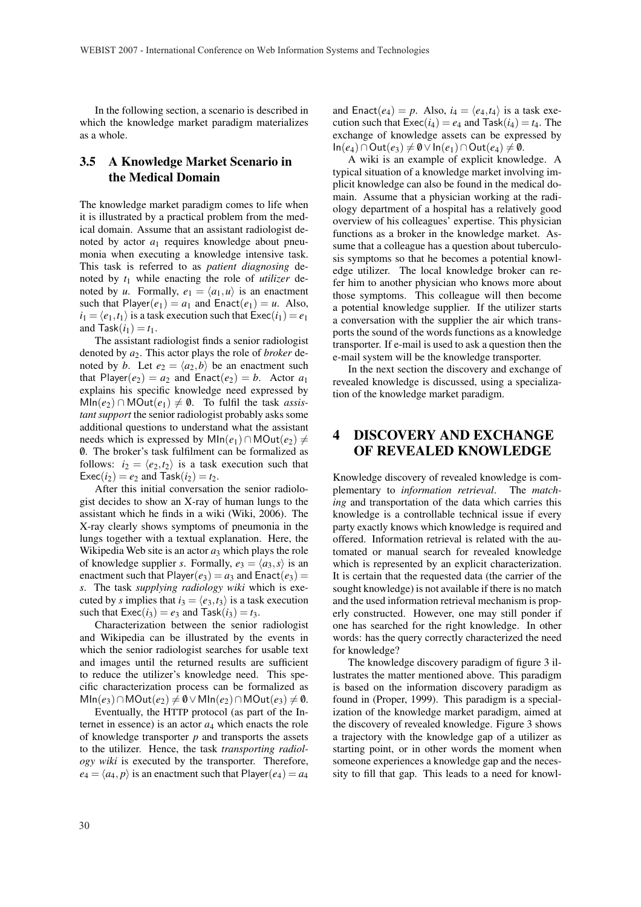In the following section, a scenario is described in which the knowledge market paradigm materializes as a whole.

## 3.5 A Knowledge Market Scenario in the Medical Domain

The knowledge market paradigm comes to life when it is illustrated by a practical problem from the medical domain. Assume that an assistant radiologist denoted by actor  $a_1$  requires knowledge about pneumonia when executing a knowledge intensive task. This task is referred to as *patient diagnosing* denoted by *t*<sup>1</sup> while enacting the role of *utilizer* denoted by *u*. Formally,  $e_1 = \langle a_1, u \rangle$  is an enactment such that  $Player(e_1) = a_1$  and  $Enact(e_1) = u$ . Also,  $i_1 = \langle e_1, t_1 \rangle$  is a task execution such that  $\text{Exec}(i_1) = e_1$ and  $Task(i_1) = t_1$ .

The assistant radiologist finds a senior radiologist denoted by *a*2. This actor plays the role of *broker* denoted by *b*. Let  $e_2 = \langle a_2, b \rangle$  be an enactment such that Player( $e_2$ ) =  $a_2$  and Enact( $e_2$ ) =  $b$ . Actor  $a_1$ explains his specific knowledge need expressed by  $Mln(e_2) ∩ MOut(e_1) \neq 0$ . To fulfil the task *assistant support* the senior radiologist probably asks some additional questions to understand what the assistant needs which is expressed by  $MIn(e_1) ∩ MOut(e_2) \neq$ 0/. The broker's task fulfilment can be formalized as follows:  $i_2 = \langle e_2, t_2 \rangle$  is a task execution such that  $\text{Exec}(i_2) = e_2$  and  $\text{Task}(i_2) = t_2$ .

After this initial conversation the senior radiologist decides to show an X-ray of human lungs to the assistant which he finds in a wiki (Wiki, 2006). The X-ray clearly shows symptoms of pneumonia in the lungs together with a textual explanation. Here, the Wikipedia Web site is an actor  $a_3$  which plays the role of knowledge supplier *s*. Formally,  $e_3 = \langle a_3, s \rangle$  is an enactment such that  $Player(e_3) = a_3$  and  $Enact(e_3) =$ *s*. The task *supplying radiology wiki* which is executed by *s* implies that  $i_3 = \langle e_3, t_3 \rangle$  is a task execution such that  $\text{Exec}(i_3) = e_3$  and  $\text{Task}(i_3) = t_3$ .

Characterization between the senior radiologist and Wikipedia can be illustrated by the events in which the senior radiologist searches for usable text and images until the returned results are sufficient to reduce the utilizer's knowledge need. This specific characterization process can be formalized as  $MIn(e_3) ∩ MOut(e_2) \neq 0 ∨ MIn(e_2) ∩ MOut(e_3) \neq 0.$ 

Eventually, the HTTP protocol (as part of the Internet in essence) is an actor  $a_4$  which enacts the role of knowledge transporter *p* and transports the assets to the utilizer. Hence, the task *transporting radiology wiki* is executed by the transporter. Therefore,  $e_4 = \langle a_4, p \rangle$  is an enactment such that Player( $e_4$ ) =  $a_4$  and Enact( $e_4$ ) = p. Also,  $i_4 = \langle e_4, t_4 \rangle$  is a task execution such that  $\text{Exec}(i_4) = e_4$  and  $\text{Task}(i_4) = t_4$ . The exchange of knowledge assets can be expressed by  $In(e_4) ∩ Out(e_3) \neq 0 ∨ In(e_1) ∩ Out(e_4) \neq 0.$ 

A wiki is an example of explicit knowledge. A typical situation of a knowledge market involving implicit knowledge can also be found in the medical domain. Assume that a physician working at the radiology department of a hospital has a relatively good overview of his colleagues' expertise. This physician functions as a broker in the knowledge market. Assume that a colleague has a question about tuberculosis symptoms so that he becomes a potential knowledge utilizer. The local knowledge broker can refer him to another physician who knows more about those symptoms. This colleague will then become a potential knowledge supplier. If the utilizer starts a conversation with the supplier the air which transports the sound of the words functions as a knowledge transporter. If e-mail is used to ask a question then the e-mail system will be the knowledge transporter.

In the next section the discovery and exchange of revealed knowledge is discussed, using a specialization of the knowledge market paradigm.

## 4 DISCOVERY AND EXCHANGE OF REVEALED KNOWLEDGE

Knowledge discovery of revealed knowledge is complementary to *information retrieval*. The *matching* and transportation of the data which carries this knowledge is a controllable technical issue if every party exactly knows which knowledge is required and offered. Information retrieval is related with the automated or manual search for revealed knowledge which is represented by an explicit characterization. It is certain that the requested data (the carrier of the sought knowledge) is not available if there is no match and the used information retrieval mechanism is properly constructed. However, one may still ponder if one has searched for the right knowledge. In other words: has the query correctly characterized the need for knowledge?

The knowledge discovery paradigm of figure 3 illustrates the matter mentioned above. This paradigm is based on the information discovery paradigm as found in (Proper, 1999). This paradigm is a specialization of the knowledge market paradigm, aimed at the discovery of revealed knowledge. Figure 3 shows a trajectory with the knowledge gap of a utilizer as starting point, or in other words the moment when someone experiences a knowledge gap and the necessity to fill that gap. This leads to a need for knowl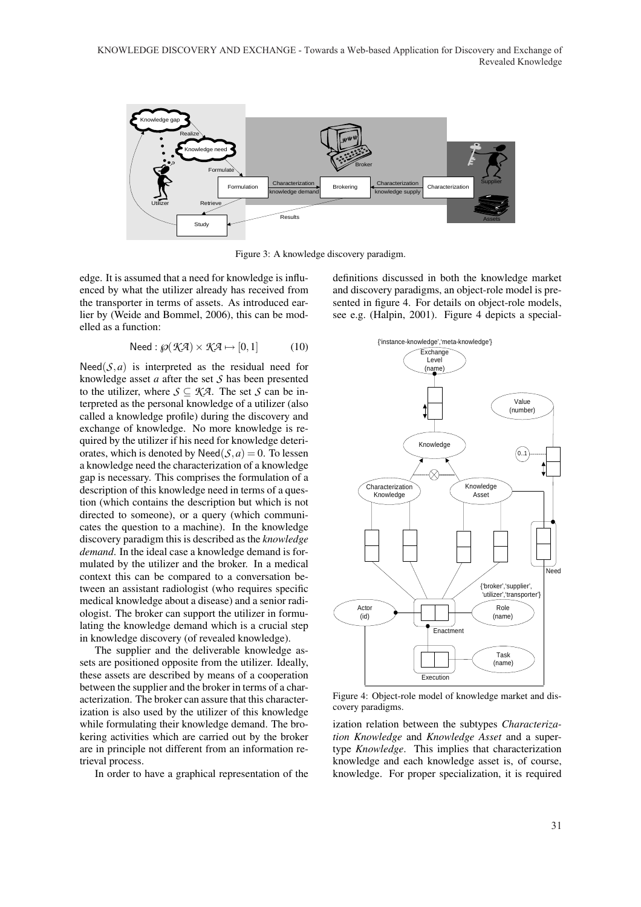KNOWLEDGE DISCOVERY AND EXCHANGE - Towards a Web-based Application for Discovery and Exchange of Revealed Knowledge



Figure 3: A knowledge discovery paradigm.

edge. It is assumed that a need for knowledge is influenced by what the utilizer already has received from the transporter in terms of assets. As introduced earlier by (Weide and Bommel, 2006), this can be modelled as a function:

$$
Need: \wp(\mathcal{K} \mathcal{A}) \times \mathcal{K} \mathcal{A} \mapsto [0,1] \tag{10}
$$

Need( $S$ , $a$ ) is interpreted as the residual need for knowledge asset *a* after the set *S* has been presented to the utilizer, where  $S \subseteq K\mathcal{A}$ . The set *S* can be interpreted as the personal knowledge of a utilizer (also called a knowledge profile) during the discovery and exchange of knowledge. No more knowledge is required by the utilizer if his need for knowledge deteriorates, which is denoted by  $\text{Need}(\mathcal{S}, a) = 0$ . To lessen a knowledge need the characterization of a knowledge gap is necessary. This comprises the formulation of a description of this knowledge need in terms of a question (which contains the description but which is not directed to someone), or a query (which communicates the question to a machine). In the knowledge discovery paradigm this is described as the *knowledge demand*. In the ideal case a knowledge demand is formulated by the utilizer and the broker. In a medical context this can be compared to a conversation between an assistant radiologist (who requires specific medical knowledge about a disease) and a senior radiologist. The broker can support the utilizer in formulating the knowledge demand which is a crucial step in knowledge discovery (of revealed knowledge).

The supplier and the deliverable knowledge assets are positioned opposite from the utilizer. Ideally, these assets are described by means of a cooperation between the supplier and the broker in terms of a characterization. The broker can assure that this characterization is also used by the utilizer of this knowledge while formulating their knowledge demand. The brokering activities which are carried out by the broker are in principle not different from an information retrieval process.

In order to have a graphical representation of the

definitions discussed in both the knowledge market and discovery paradigms, an object-role model is presented in figure 4. For details on object-role models, see e.g. (Halpin, 2001). Figure 4 depicts a special-



Figure 4: Object-role model of knowledge market and discovery paradigms.

ization relation between the subtypes *Characterization Knowledge* and *Knowledge Asset* and a supertype *Knowledge*. This implies that characterization knowledge and each knowledge asset is, of course, knowledge. For proper specialization, it is required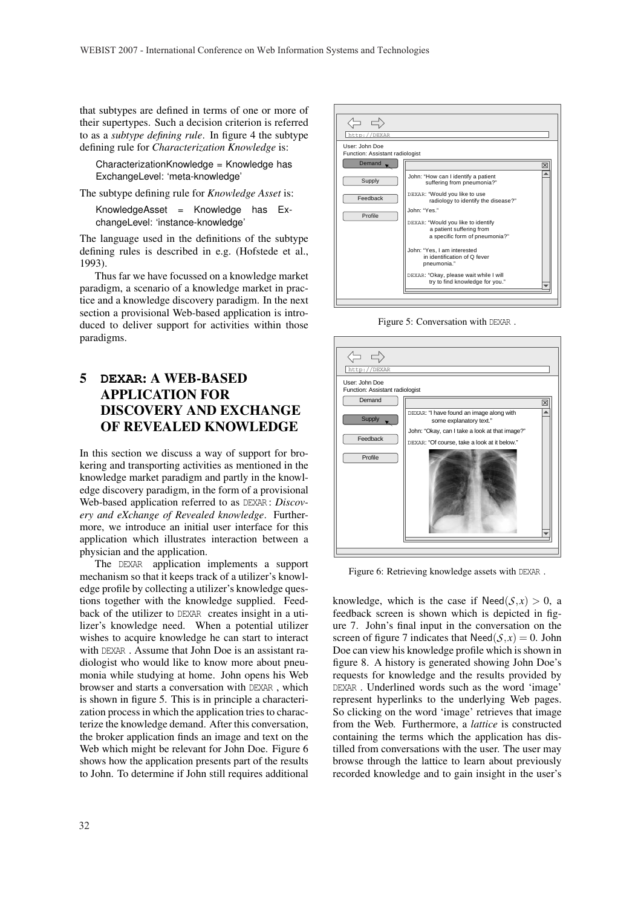that subtypes are defined in terms of one or more of their supertypes. Such a decision criterion is referred to as a *subtype defining rule*. In figure 4 the subtype defining rule for *Characterization Knowledge* is:

CharacterizationKnowledge = Knowledge has ExchangeLevel: 'meta-knowledge'

The subtype defining rule for *Knowledge Asset* is:

KnowledgeAsset = Knowledge has ExchangeLevel: 'instance-knowledge'

The language used in the definitions of the subtype defining rules is described in e.g. (Hofstede et al., 1993).

Thus far we have focussed on a knowledge market paradigm, a scenario of a knowledge market in practice and a knowledge discovery paradigm. In the next section a provisional Web-based application is introduced to deliver support for activities within those paradigms.

# 5 **DEXAR**: A WEB-BASED APPLICATION FOR DISCOVERY AND EXCHANGE OF REVEALED KNOWLEDGE

In this section we discuss a way of support for brokering and transporting activities as mentioned in the knowledge market paradigm and partly in the knowledge discovery paradigm, in the form of a provisional Web-based application referred to as DEXAR : *Discovery and eXchange of Revealed knowledge*. Furthermore, we introduce an initial user interface for this application which illustrates interaction between a physician and the application.

The DEXAR application implements a support mechanism so that it keeps track of a utilizer's knowledge profile by collecting a utilizer's knowledge questions together with the knowledge supplied. Feedback of the utilizer to DEXAR creates insight in a utilizer's knowledge need. When a potential utilizer wishes to acquire knowledge he can start to interact with DEXAR . Assume that John Doe is an assistant radiologist who would like to know more about pneumonia while studying at home. John opens his Web browser and starts a conversation with DEXAR , which is shown in figure 5. This is in principle a characterization process in which the application tries to characterize the knowledge demand. After this conversation, the broker application finds an image and text on the Web which might be relevant for John Doe. Figure 6 shows how the application presents part of the results to John. To determine if John still requires additional



Figure 5: Conversation with DEXAR .



Figure 6: Retrieving knowledge assets with DEXAR .

knowledge, which is the case if  $\text{Need}(\mathcal{S},x) > 0$ , a feedback screen is shown which is depicted in figure 7. John's final input in the conversation on the screen of figure 7 indicates that  $\text{Need}(\mathcal{S}, x) = 0$ . John Doe can view his knowledge profile which is shown in figure 8. A history is generated showing John Doe's requests for knowledge and the results provided by DEXAR . Underlined words such as the word 'image' represent hyperlinks to the underlying Web pages. So clicking on the word 'image' retrieves that image from the Web. Furthermore, a *lattice* is constructed containing the terms which the application has distilled from conversations with the user. The user may browse through the lattice to learn about previously recorded knowledge and to gain insight in the user's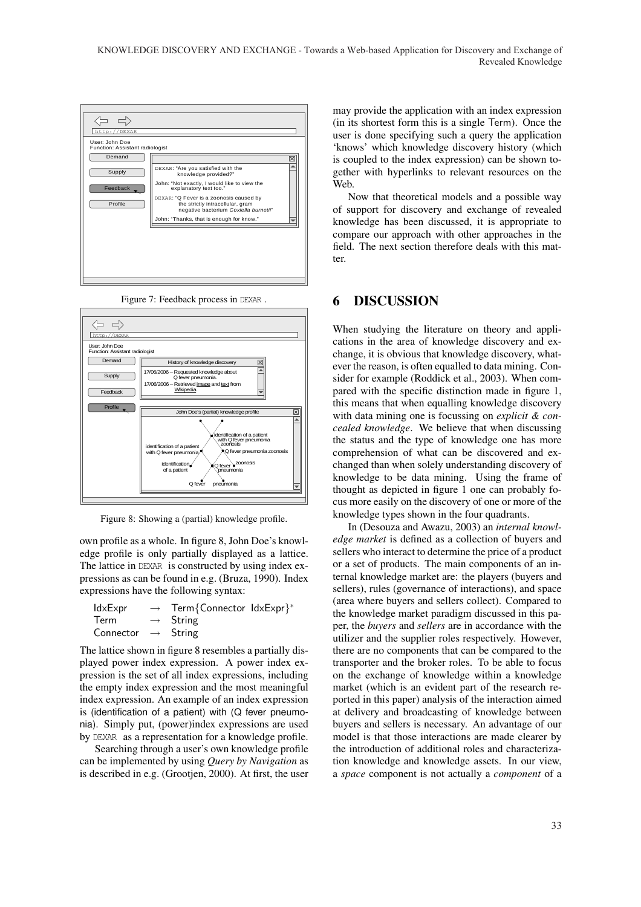

Figure 7: Feedback process in DEXAR .



Figure 8: Showing a (partial) knowledge profile.

own profile as a whole. In figure 8, John Doe's knowledge profile is only partially displayed as a lattice. The lattice in DEXAR is constructed by using index expressions as can be found in e.g. (Bruza, 1990). Index expressions have the following syntax:

| ldxExpr                        | $\rightarrow$ Term{Connector IdxExpr}* |  |
|--------------------------------|----------------------------------------|--|
| Term                           | $\rightarrow$ String                   |  |
| Connector $\rightarrow$ String |                                        |  |

The lattice shown in figure 8 resembles a partially displayed power index expression. A power index expression is the set of all index expressions, including the empty index expression and the most meaningful index expression. An example of an index expression is (identification of a patient) with (Q fever pneumonia). Simply put, (power)index expressions are used by DEXAR as a representation for a knowledge profile.

Searching through a user's own knowledge profile can be implemented by using *Query by Navigation* as is described in e.g. (Grootjen, 2000). At first, the user may provide the application with an index expression (in its shortest form this is a single Term). Once the user is done specifying such a query the application 'knows' which knowledge discovery history (which is coupled to the index expression) can be shown together with hyperlinks to relevant resources on the Web.

Now that theoretical models and a possible way of support for discovery and exchange of revealed knowledge has been discussed, it is appropriate to compare our approach with other approaches in the field. The next section therefore deals with this matter.

### 6 DISCUSSION

When studying the literature on theory and applications in the area of knowledge discovery and exchange, it is obvious that knowledge discovery, whatever the reason, is often equalled to data mining. Consider for example (Roddick et al., 2003). When compared with the specific distinction made in figure 1, this means that when equalling knowledge discovery with data mining one is focussing on *explicit & concealed knowledge*. We believe that when discussing the status and the type of knowledge one has more comprehension of what can be discovered and exchanged than when solely understanding discovery of knowledge to be data mining. Using the frame of thought as depicted in figure 1 one can probably focus more easily on the discovery of one or more of the knowledge types shown in the four quadrants.

In (Desouza and Awazu, 2003) an *internal knowledge market* is defined as a collection of buyers and sellers who interact to determine the price of a product or a set of products. The main components of an internal knowledge market are: the players (buyers and sellers), rules (governance of interactions), and space (area where buyers and sellers collect). Compared to the knowledge market paradigm discussed in this paper, the *buyers* and *sellers* are in accordance with the utilizer and the supplier roles respectively. However, there are no components that can be compared to the transporter and the broker roles. To be able to focus on the exchange of knowledge within a knowledge market (which is an evident part of the research reported in this paper) analysis of the interaction aimed at delivery and broadcasting of knowledge between buyers and sellers is necessary. An advantage of our model is that those interactions are made clearer by the introduction of additional roles and characterization knowledge and knowledge assets. In our view, a *space* component is not actually a *component* of a